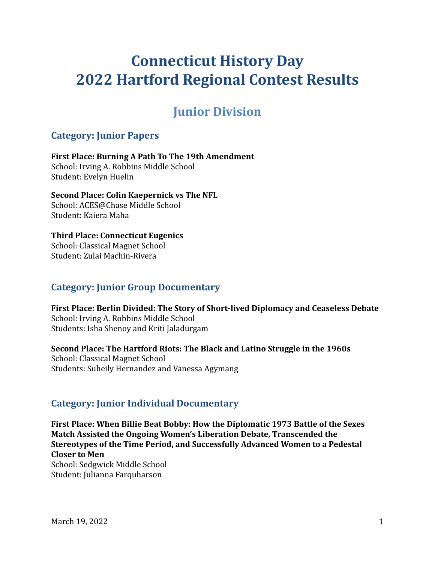# **Connecticut History Day 2022 Hartford Regional Contest Results**

## **Junior Division**

## **Category: Junior Papers**

**First Place: Burning A Path To The 19th Amendment** School: Irving A. Robbins Middle School Student: Evelyn Huelin

### **Second Place: Colin Kaepernick vs The NFL**

School: ACES@Chase Middle School Student: Kaiera Maha

## **Third Place: Connecticut Eugenics**

School: Classical Magnet School Student: Zulai Machin-Rivera

## **Category: Junior Group Documentary**

**First Place: Berlin Divided: The Story of Short-lived Diplomacy and Ceaseless Debate** School: Irving A. Robbins Middle School Students: Isha Shenoy and Kriti Jaladurgam

### **Second Place: The Hartford Riots: The Black and Latino Struggle in the 1960s**

School: Classical Magnet School Students: Suheily Hernandez and Vanessa Agymang

## **Category: Junior Individual Documentary**

**First Place: When Billie Beat Bobby: How the Diplomatic 1973 Battle of the Sexes Match Assisted the Ongoing Women's Liberation Debate, Transcended the Stereotypes of the Time Period, and Successfully Advanced Women to a Pedestal Closer to Men**

School: Sedgwick Middle School Student: Julianna Farquharson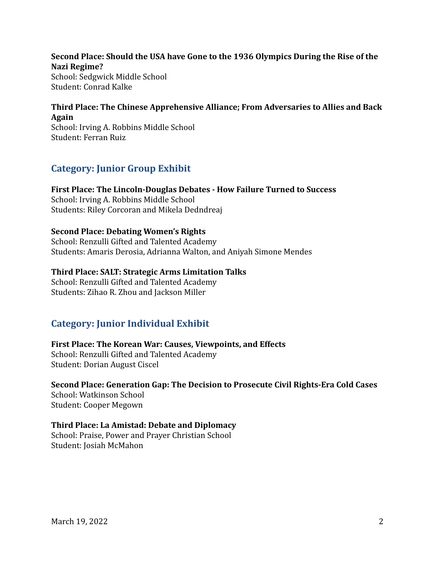**Second Place: Should the USA have Gone to the 1936 Olympics During the Rise of the Nazi Regime?** School: Sedgwick Middle School Student: Conrad Kalke

## **Third Place: The Chinese Apprehensive Alliance; From Adversaries to Allies and Back Again**

School: Irving A. Robbins Middle School Student: Ferran Ruiz

## **Category: Junior Group Exhibit**

**First Place: The Lincoln-Douglas Debates - How Failure Turned to Success** School: Irving A. Robbins Middle School Students: Riley Corcoran and Mikela Dedndreaj

### **Second Place: Debating Women's Rights**

School: Renzulli Gifted and Talented Academy Students: Amaris Derosia, Adrianna Walton, and Aniyah Simone Mendes

### **Third Place: SALT: Strategic Arms Limitation Talks**

School: Renzulli Gifted and Talented Academy Students: Zihao R. Zhou and Jackson Miller

## **Category: Junior Individual Exhibit**

## **First Place: The Korean War: Causes, Viewpoints, and Effects**

School: Renzulli Gifted and Talented Academy Student: Dorian August Ciscel

#### **Second Place: Generation Gap: The Decision to Prosecute Civil Rights-Era Cold Cases** School: Watkinson School

Student: Cooper Megown

### **Third Place: La Amistad: Debate and Diplomacy**

School: Praise, Power and Prayer Christian School Student: Josiah McMahon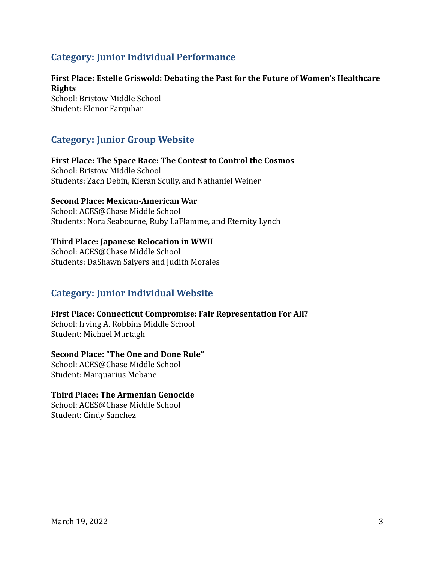## **Category: Junior Individual Performance**

### **First Place: Estelle Griswold: Debating the Past for the Future of Women's Healthcare Rights**

School: Bristow Middle School Student: Elenor Farquhar

## **Category: Junior Group Website**

**First Place: The Space Race: The Contest to Control the Cosmos** School: Bristow Middle School Students: Zach Debin, Kieran Scully, and Nathaniel Weiner

### **Second Place: Mexican-American War**

School: ACES@Chase Middle School Students: Nora Seabourne, Ruby LaFlamme, and Eternity Lynch

### **Third Place: Japanese Relocation in WWII**

School: ACES@Chase Middle School Students: DaShawn Salyers and Judith Morales

## **Category: Junior Individual Website**

#### **First Place: Connecticut Compromise: Fair Representation For All?**

School: Irving A. Robbins Middle School Student: Michael Murtagh

#### **Second Place: "The One and Done Rule"**

School: ACES@Chase Middle School Student: Marquarius Mebane

### **Third Place: The Armenian Genocide**

School: ACES@Chase Middle School Student: Cindy Sanchez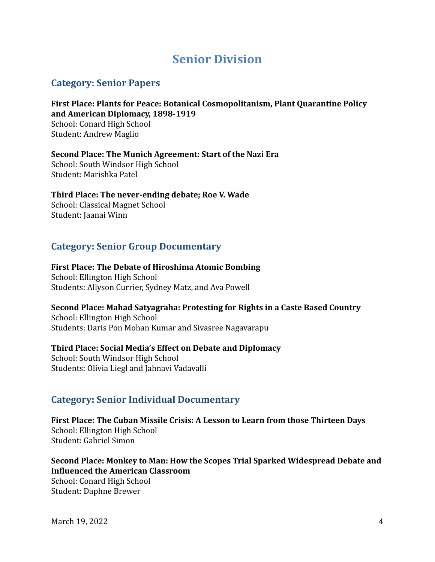## **Senior Division**

## **Category: Senior Papers**

**First Place: Plants for Peace: Botanical Cosmopolitanism, Plant Quarantine Policy and American Diplomacy, 1898-1919** School: Conard High School Student: Andrew Maglio

**Second Place: The Munich Agreement: Start of the Nazi Era** School: South Windsor High School Student: Marishka Patel

**Third Place: The never-ending debate; Roe V. Wade** School: Classical Magnet School Student: Jaanai Winn

## **Category: Senior Group Documentary**

**First Place: The Debate of Hiroshima Atomic Bombing** School: Ellington High School

Students: Allyson Currier, Sydney Matz, and Ava Powell

**Second Place: Mahad Satyagraha: Protesting for Rights in a Caste Based Country**

School: Ellington High School Students: Daris Pon Mohan Kumar and Sivasree Nagavarapu

### **Third Place: Social Media's Effect on Debate and Diplomacy**

School: South Windsor High School Students: Olivia Liegl and Jahnavi Vadavalli

## **Category: Senior Individual Documentary**

**First Place: The Cuban Missile Crisis: A Lesson to Learn from those Thirteen Days** School: Ellington High School Student: Gabriel Simon

**Second Place: Monkey to Man: How the Scopes Trial Sparked Widespread Debate and Influenced the American Classroom** School: Conard High School Student: Daphne Brewer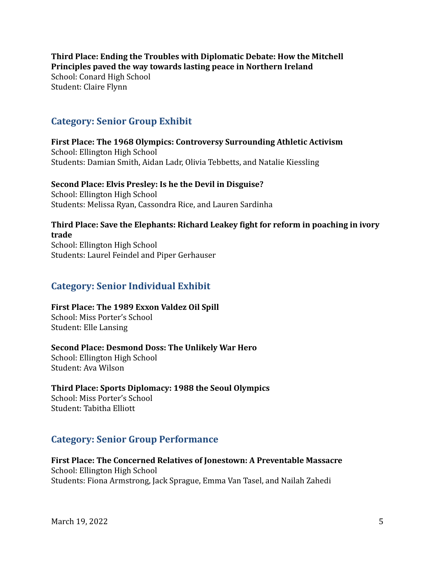**Third Place: Ending the Troubles with Diplomatic Debate: How the Mitchell Principles paved the way towards lasting peace in Northern Ireland** School: Conard High School Student: Claire Flynn

### **Category: Senior Group Exhibit**

**First Place: The 1968 Olympics: Controversy Surrounding Athletic Activism** School: Ellington High School Students: Damian Smith, Aidan Ladr, Olivia Tebbetts, and Natalie Kiessling

### **Second Place: Elvis Presley: Is he the Devil in Disguise?**

School: Ellington High School Students: Melissa Ryan, Cassondra Rice, and Lauren Sardinha

### **Third Place: Save the Elephants: Richard Leakey fight for reform in poaching in ivory trade**

School: Ellington High School Students: Laurel Feindel and Piper Gerhauser

## **Category: Senior Individual Exhibit**

### **First Place: The 1989 Exxon Valdez Oil Spill**

School: Miss Porter's School Student: Elle Lansing

#### **Second Place: Desmond Doss: The Unlikely War Hero**

School: Ellington High School Student: Ava Wilson

### **Third Place: Sports Diplomacy: 1988 the Seoul Olympics**

School: Miss Porter's School Student: Tabitha Elliott

## **Category: Senior Group Performance**

#### **First Place: The Concerned Relatives of Jonestown: A Preventable Massacre** School: Ellington High School Students: Fiona Armstrong, Jack Sprague, Emma Van Tasel, and Nailah Zahedi